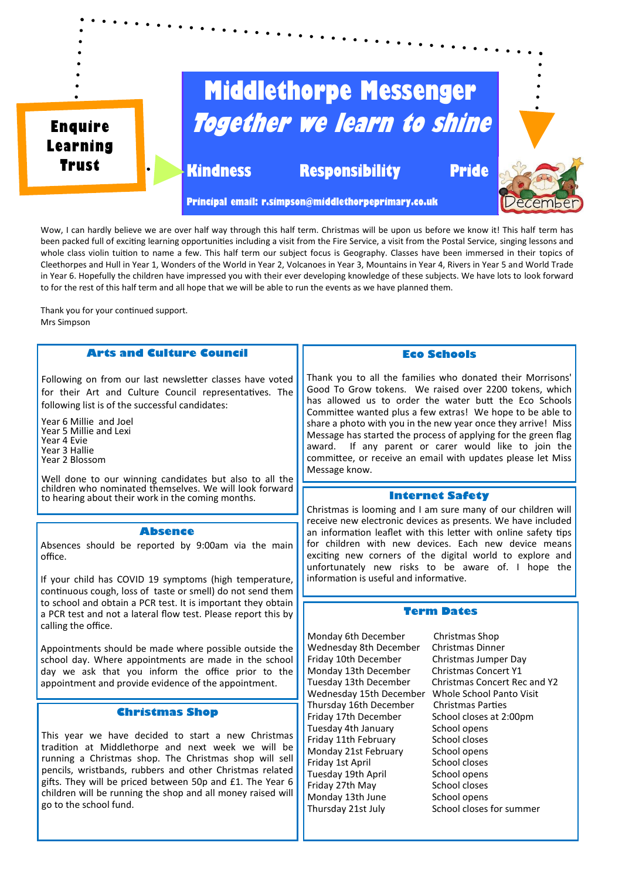

Wow, I can hardly believe we are over half way through this half term. Christmas will be upon us before we know it! This half term has been packed full of exciting learning opportunities including a visit from the Fire Service, a visit from the Postal Service, singing lessons and whole class violin tuition to name a few. This half term our subject focus is Geography. Classes have been immersed in their topics of Cleethorpes and Hull in Year 1, Wonders of the World in Year 2, Volcanoes in Year 3, Mountains in Year 4, Rivers in Year 5 and World Trade in Year 6. Hopefully the children have impressed you with their ever developing knowledge of these subjects. We have lots to look forward to for the rest of this half term and all hope that we will be able to run the events as we have planned them.

Thank you for your continued support. Mrs Simpson

# **Arts and Culture Council**

Following on from our last newsletter classes have voted for their Art and Culture Council representatives. The following list is of the successful candidates:

Year 6 Millie and Joel Year 5 Millie and Lexi Year 4 Evie Year 3 Hallie Year 2 Blossom

Well done to our winning candidates but also to all the children who nominated themselves. We will look forward to hearing about their work in the coming months.

## **Absence**

Absences should be reported by 9:00am via the main office.

If your child has COVID 19 symptoms (high temperature, continuous cough, loss of taste or smell) do not send them to school and obtain a PCR test. It is important they obtain a PCR test and not a lateral flow test. Please report this by calling the office.

Appointments should be made where possible outside the school day. Where appointments are made in the school day we ask that you inform the office prior to the appointment and provide evidence of the appointment.

### **Christmas Shop**

This year we have decided to start a new Christmas tradition at Middlethorpe and next week we will be running a Christmas shop. The Christmas shop will sell pencils, wristbands, rubbers and other Christmas related gifts. They will be priced between 50p and £1. The Year 6 children will be running the shop and all money raised will go to the school fund.

#### **Eco Schools**

Thank you to all the families who donated their Morrisons' Good To Grow tokens. We raised over 2200 tokens, which has allowed us to order the water butt the Eco Schools Committee wanted plus a few extras! We hope to be able to share a photo with you in the new year once they arrive! Miss Message has started the process of applying for the green flag award. If any parent or carer would like to join the committee, or receive an email with updates please let Miss Message know.

#### **Internet Safety**

Christmas is looming and I am sure many of our children will receive new electronic devices as presents. We have included an information leaflet with this letter with online safety tips for children with new devices. Each new device means exciting new corners of the digital world to explore and unfortunately new risks to be aware of. I hope the information is useful and informative.

## **Term Dates**

Monday 6th December Christmas Shop Wednesday 8th December Christmas Dinner Friday 10th December Christmas Jumper Day Monday 13th December Christmas Concert Y1 Wednesday 15th December Whole School Panton Thursday 16th December Christmas Parties Thursday 16th December Christmas Parties<br>Friday 17th December School closes at 2:00pm Friday 17th December School closes<br>Tuesday 4th January School opens Tuesday 4th January Friday 11th February School closes Monday 21st February School opens<br>
Friday 1st April School closes Friday 1st April Tuesday 19th April School opens Friday 27th May School closes Monday 13th June School opens Thursday 21st July School closes for summer

Tuesday 13th December Christmas Concert Rec and Y2<br>Wednesday 15th December Whole School Panto Visit